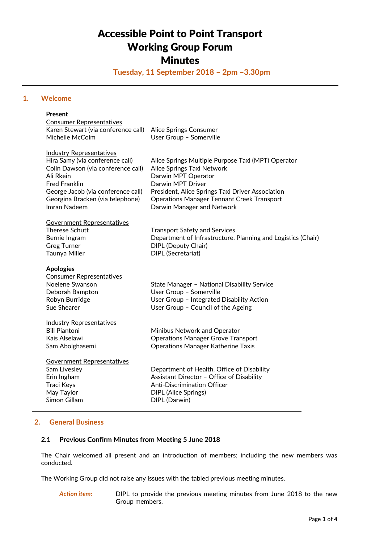# Accessible Point to Point Transport Working Group Forum Minutes

**Tuesday, 11 September 2018 – 2pm –3.30pm**

# **1. Welcome**

| Present                                                                |                                                                                                       |
|------------------------------------------------------------------------|-------------------------------------------------------------------------------------------------------|
| <b>Consumer Representatives</b>                                        |                                                                                                       |
| Karen Stewart (via conference call)<br>Michelle McColm                 | <b>Alice Springs Consumer</b><br>User Group - Somerville                                              |
|                                                                        |                                                                                                       |
| <b>Industry Representatives</b>                                        |                                                                                                       |
| Hira Samy (via conference call)                                        | Alice Springs Multiple Purpose Taxi (MPT) Operator                                                    |
| Colin Dawson (via conference call)                                     | Alice Springs Taxi Network                                                                            |
| Ali Rkein                                                              | Darwin MPT Operator                                                                                   |
| <b>Fred Franklin</b>                                                   | Darwin MPT Driver                                                                                     |
| George Jacob (via conference call)<br>Georgina Bracken (via telephone) | President, Alice Springs Taxi Driver Association<br><b>Operations Manager Tennant Creek Transport</b> |
| Imran Nadeem                                                           | Darwin Manager and Network                                                                            |
|                                                                        |                                                                                                       |
| <b>Government Representatives</b>                                      |                                                                                                       |
| <b>Therese Schutt</b>                                                  | <b>Transport Safety and Services</b>                                                                  |
| Bernie Ingram                                                          | Department of Infrastructure, Planning and Logistics (Chair)                                          |
| <b>Greg Turner</b>                                                     | <b>DIPL (Deputy Chair)</b>                                                                            |
| Taunya Miller                                                          | DIPL (Secretariat)                                                                                    |
| <b>Apologies</b>                                                       |                                                                                                       |
| <b>Consumer Representatives</b>                                        |                                                                                                       |
| Noelene Swanson                                                        | State Manager - National Disability Service                                                           |
| Deborah Bampton                                                        | User Group - Somerville                                                                               |
| Robyn Burridge                                                         | User Group - Integrated Disability Action                                                             |
| Sue Shearer                                                            | User Group - Council of the Ageing                                                                    |
| <b>Industry Representatives</b>                                        |                                                                                                       |
| <b>Bill Piantoni</b>                                                   | Minibus Network and Operator                                                                          |
| Kais Alselawi                                                          | <b>Operations Manager Grove Transport</b>                                                             |
| Sam Abolghasemi                                                        | <b>Operations Manager Katherine Taxis</b>                                                             |
|                                                                        |                                                                                                       |
| <b>Government Representatives</b><br>Sam Livesley                      | Department of Health, Office of Disability                                                            |
| Erin Ingham                                                            | Assistant Director - Office of Disability                                                             |
| <b>Traci Keys</b>                                                      | <b>Anti-Discrimination Officer</b>                                                                    |
| May Taylor                                                             | <b>DIPL (Alice Springs)</b>                                                                           |
| Simon Gillam                                                           | DIPL (Darwin)                                                                                         |
|                                                                        |                                                                                                       |

# **2. General Business**

# **2.1 Previous Confirm Minutes from Meeting 5 June 2018**

The Chair welcomed all present and an introduction of members; including the new members was conducted.

The Working Group did not raise any issues with the tabled previous meeting minutes.

*Action item:* DIPL to provide the previous meeting minutes from June 2018 to the new Group members.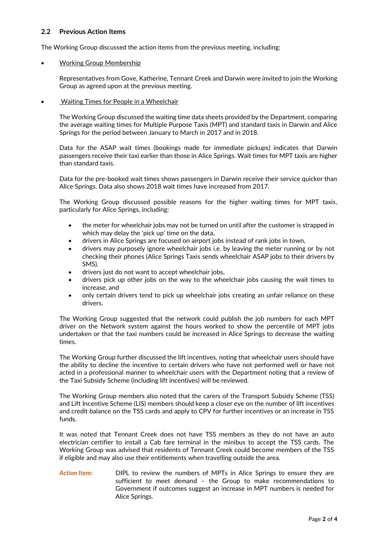# **2.2 Previous Action Items**

The Working Group discussed the action items from the previous meeting, including:

#### Working Group Membership

Representatives from Gove, Katherine, Tennant Creek and Darwin were invited to join the Working Group as agreed upon at the previous meeting.

#### Waiting Times for People in a Wheelchair

The Working Group discussed the waiting time data sheets provided by the Department, comparing the average waiting times for Multiple Purpose Taxis (MPT) and standard taxis in Darwin and Alice Springs for the period between January to March in 2017 and in 2018.

Data for the ASAP wait times (bookings made for immediate pickups) indicates that Darwin passengers receive their taxi earlier than those in Alice Springs. Wait times for MPT taxis are higher than standard taxis.

Data for the pre-booked wait times shows passengers in Darwin receive their service quicker than Alice Springs. Data also shows 2018 wait times have increased from 2017.

The Working Group discussed possible reasons for the higher waiting times for MPT taxis, particularly for Alice Springs, including:

- the meter for wheelchair jobs may not be turned on until after the customer is strapped in which may delay the 'pick up' time on the data,
- drivers in Alice Springs are focused on airport jobs instead of rank jobs in town,
- drivers may purposely ignore wheelchair jobs i.e. by leaving the meter running or by not checking their phones (Alice Springs Taxis sends wheelchair ASAP jobs to their drivers by SMS),
- drivers just do not want to accept wheelchair jobs,
- drivers pick up other jobs on the way to the wheelchair jobs causing the wait times to increase, and
- only certain drivers tend to pick up wheelchair jobs creating an unfair reliance on these drivers.

The Working Group suggested that the network could publish the job numbers for each MPT driver on the Network system against the hours worked to show the percentile of MPT jobs undertaken or that the taxi numbers could be increased in Alice Springs to decrease the waiting times.

The Working Group further discussed the lift incentives, noting that wheelchair users should have the ability to decline the incentive to certain drivers who have not performed well or have not acted in a professional manner to wheelchair users with the Department noting that a review of the Taxi Subsidy Scheme (including lift incentives) will be reviewed.

The Working Group members also noted that the carers of the Transport Subsidy Scheme (TSS) and Lift Incentive Scheme (LIS) members should keep a closer eye on the number of lift incentives and credit balance on the TSS cards and apply to CPV for further incentives or an increase in TSS funds.

It was noted that Tennant Creek does not have TSS members as they do not have an auto electrician certifier to install a Cab fare terminal in the minibus to accept the TSS cards. The Working Group was advised that residents of Tennant Creek could become members of the TSS if eligible and may also use their entitlements when travelling outside the area.

*Action Item:* DIPL to review the numbers of MPTs in Alice Springs to ensure they are sufficient to meet demand – the Group to make recommendations to Government if outcomes suggest an increase in MPT numbers is needed for Alice Springs.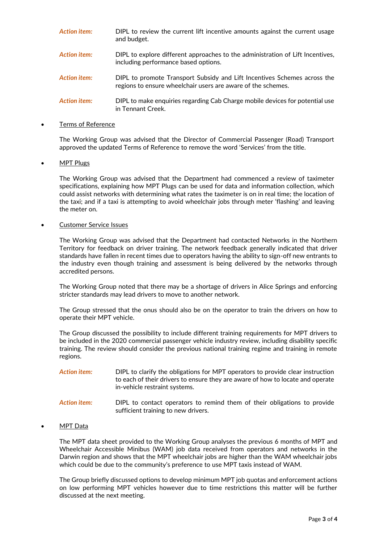| <b>Action item:</b> | DIPL to review the current lift incentive amounts against the current usage<br>and budget.                                               |
|---------------------|------------------------------------------------------------------------------------------------------------------------------------------|
| <b>Action item:</b> | DIPL to explore different approaches to the administration of Lift Incentives,<br>including performance based options.                   |
| <b>Action item:</b> | DIPL to promote Transport Subsidy and Lift Incentives Schemes across the<br>regions to ensure wheelchair users are aware of the schemes. |
| <b>Action item:</b> | DIPL to make enquiries regarding Cab Charge mobile devices for potential use<br>in Tennant Creek.                                        |

#### Terms of Reference

The Working Group was advised that the Director of Commercial Passenger (Road) Transport approved the updated Terms of Reference to remove the word 'Services' from the title.

#### MPT Plugs

The Working Group was advised that the Department had commenced a review of taximeter specifications, explaining how MPT Plugs can be used for data and information collection, which could assist networks with determining what rates the taximeter is on in real time; the location of the taxi; and if a taxi is attempting to avoid wheelchair jobs through meter 'flashing' and leaving the meter on.

#### Customer Service Issues

The Working Group was advised that the Department had contacted Networks in the Northern Territory for feedback on driver training. The network feedback generally indicated that driver standards have fallen in recent times due to operators having the ability to sign-off new entrants to the industry even though training and assessment is being delivered by the networks through accredited persons.

The Working Group noted that there may be a shortage of drivers in Alice Springs and enforcing stricter standards may lead drivers to move to another network.

The Group stressed that the onus should also be on the operator to train the drivers on how to operate their MPT vehicle.

The Group discussed the possibility to include different training requirements for MPT drivers to be included in the 2020 commercial passenger vehicle industry review, including disability specific training. The review should consider the previous national training regime and training in remote regions.

| Action item: | DIPL to clarify the obligations for MPT operators to provide clear instruction |
|--------------|--------------------------------------------------------------------------------|
|              | to each of their drivers to ensure they are aware of how to locate and operate |
|              | in-vehicle restraint systems.                                                  |

*Action item:* DIPL to contact operators to remind them of their obligations to provide sufficient training to new drivers.

# MPT Data

The MPT data sheet provided to the Working Group analyses the previous 6 months of MPT and Wheelchair Accessible Minibus (WAM) job data received from operators and networks in the Darwin region and shows that the MPT wheelchair jobs are higher than the WAM wheelchair jobs which could be due to the community's preference to use MPT taxis instead of WAM.

The Group briefly discussed options to develop minimum MPT job quotas and enforcement actions on low performing MPT vehicles however due to time restrictions this matter will be further discussed at the next meeting.